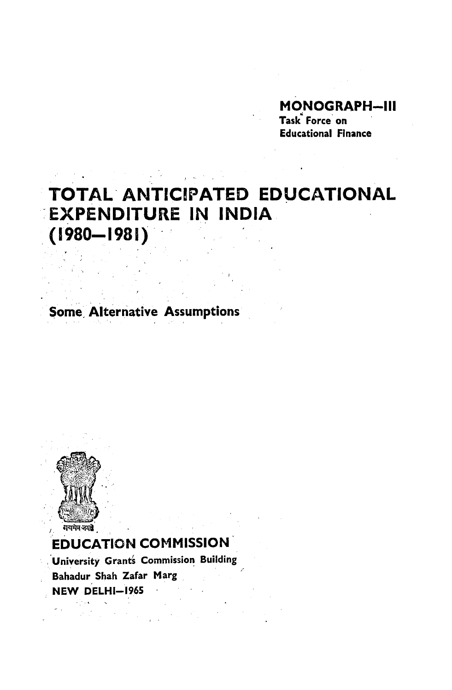# **MONOGRAPH-III**

Task Force on **Educational Finance** 

# TOTAL ANTICIPATED EDUCATIONAL **EXPENDITURE IN INDIA.**  $(1980 - 1981)$

**Some Alternative Assumptions** 



# **EDUCATION COMMISSION**

University Grant's Commission Building Bahadur Shah Zafar Marg NEW DELHI-1965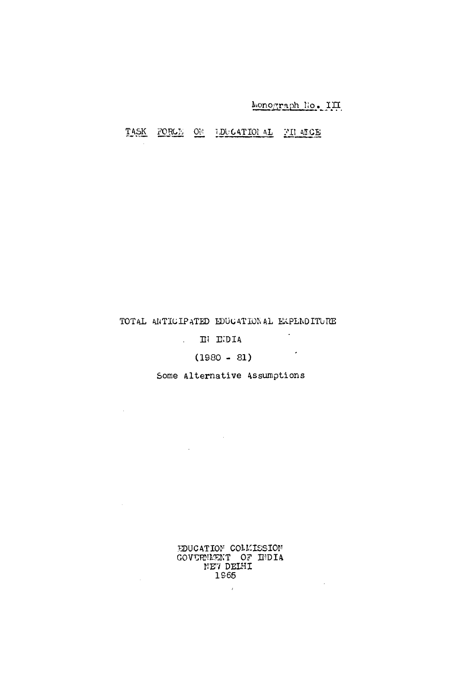## Monograph No. III

### TASK FORCE ON IDUCATIONAL FILARCE

#### TOTAL ANTICIPATED EDUCATIONAL EXPENDITURE

# $\mathbf{H}$   $\mathbf{L}$   $\mathbf{D}$   $\mathbf{I}$   $\mathbf{A}$

 $\label{eq:2} \frac{1}{\sqrt{2}}\int_{0}^{\infty}\frac{dx}{\sqrt{2\pi}}\,dx\leq \frac{1}{2}\int_{0}^{\infty}\frac{dx}{\sqrt{2\pi}}\,dx$ 

 $\sim 10^{-10}$ 

 $\sim$   $\sim$ 

 $\sim 10$ 

 $\sim 10^{-1}$ 

# $(1980 - 81)$

#### Some Alternative Assumptions

EDUCATION COLLISSION GOVERNMENT OF HIDIA 1965

 $\mathcal{L}^{\mathcal{L}}$ 

 $\mathcal{L}^{\text{max}}_{\text{max}}$  ,  $\mathcal{L}^{\text{max}}_{\text{max}}$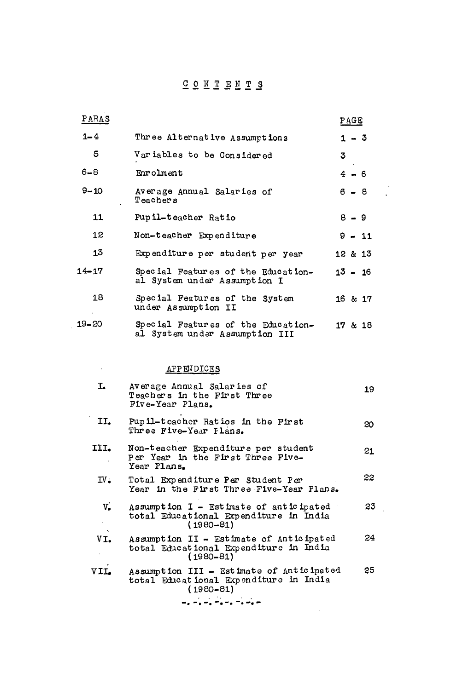## CONTENTS

| PARAS            |                                                                      | PAGE      |
|------------------|----------------------------------------------------------------------|-----------|
| $1 - 4$          | Three Alternative Assumptions                                        | $1 - 3$   |
| 5                | Variables to be Considered                                           | 3         |
| $6 - 8$          | Enrolment                                                            | $4 - 6$   |
| $9 - 10$         | Average Annual Salaries of<br><b>Teachers</b>                        | $6 - 8$   |
| 11               | Pupil-teacher Ratio                                                  | $8 - 9$   |
| 12               | Non-teacher Expenditure                                              | $9 - 11$  |
| 13               | Expenditure per student per year                                     | 12 & 213  |
| $14 - 17$        | Special Features of the Education-<br>al System under Assumption I   | $13 - 16$ |
| 18<br>$\epsilon$ | Special Features of the System<br>under Assumption II                | 16 & 17   |
| $19 - 20$        | Special Features of the Education-<br>al System under Assumption III | 17 & 18   |

### APPENDICES

 $\mathcal{L}^{\text{max}}_{\text{max}}$  ,  $\mathcal{L}^{\text{max}}_{\text{max}}$ 

| I.                      | Average Annual Salaries of<br>Teachers in the First Three<br>Five-Year Plans.                                                                   | 19 |
|-------------------------|-------------------------------------------------------------------------------------------------------------------------------------------------|----|
| II.                     | Pupil-teacher Ratios in the First<br>Three Five-Year Flans.                                                                                     | 20 |
| III.                    | Non-teacher Expenditure per student<br>Per Year in the First Three Five-<br>Year Plans.                                                         | 21 |
| $\mathbf{IV}_{\bullet}$ | Total Expenditure Per Student Per<br>Year in the First Three Five-Year Plans.                                                                   | 22 |
| $V_{\bullet}$           | Assumption $I$ - Estimate of anticipated<br>total Educational Expenditure in India<br>$(1980 - 81)$                                             | 23 |
| $VI_{\bullet}$          | Assumption II - Estimate of Anticipated<br>total Educational Expenditure in India<br>$(1980 - 81)$                                              | 24 |
| VII.                    | Assumption III - Estimate of Anticipated<br>total Educational Expenditure in India<br>$(1980 - 81)$<br>the contract of the contract of the con- | 25 |

 $-$  .  $-$  ,  $-$  ,  $-$  ,  $-$  ,  $-$  ,  $-$  ,  $-$ 

 $\mathcal{L}^{(1)}$  and  $\mathcal{L}^{(2)}$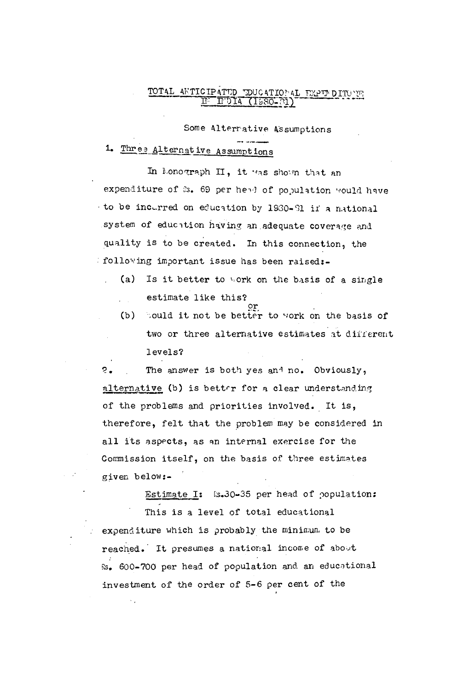# TOTAL ANTICIPATED EDUCATIONAL EXPENDITURE

Some Alterrative Assumptions

## 1. Three Alternative Assumptions

In Lonograph II, it was shown that an expenditure of &s. 69 per head of population would have to be incurred on education by 1930-81 if a mational system of educition having an adequate coverage and quality is to be created. In this connection, the following important issue has been raised:-

- (a) Is it better to work on the basis of a single estimate like this?
	- (b) Could it not be better to work on the basis of two or three alternative estimates at different levels?

 $2.$ The answer is both yes and no. Obviously, alternative (b) is better for a clear understanding of the problems and priorities involved. It is, therefore, felt that the problem may be considered in all its aspects, as an internal exercise for the Commission itself, on the basis of three estimates given below:-

Estimate I: [s.30-35 per head of population: This is a level of total educational expenditure which is probably the minimum to be reached. It presumes a national income of about Rs. 600-700 per head of population and an educational investment of the order of 5-6 per cent of the

 $\hat{\mathbf{v}}_{\text{in}}$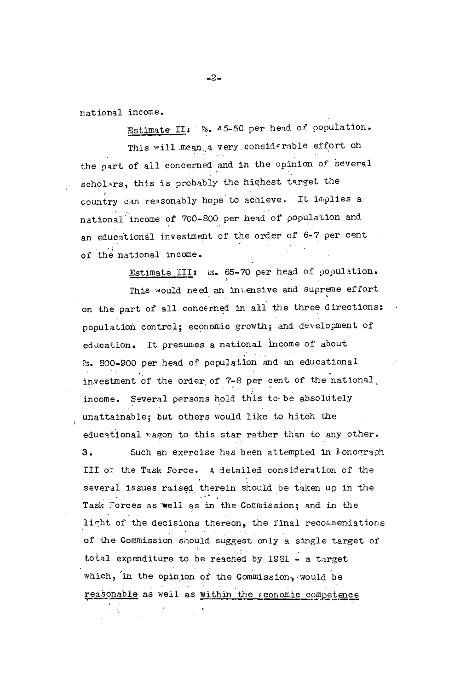national income.

Estimate II: Rs. 45-50 per head of population. This will mean a very considerable effort on the part of all concerned and in the opinion of several scholars, this is probably the highest target the country can reasonably hope to achieve. It implies a national income of 700-800 per head of population and an educational investment of the order of 6-7 per cent of the national income.

Estimate III: as. 65-70 per head of population. This would need an intensive and supreme effort on the part of all concerned in all the three directions: population control; economic growth; and development of education. It presumes a national income of about Rs. 800-900 per head of population and an educational investment of the order of 7-8 per cent of the national. income. Several persons hold this to be absolutely unattainable; but others would like to hitch the educational wagon to this star rather than to any other.  $3.$ Such an exercise has been attempted in lonograph III of the Task Force. A detailed consideration of the several issues raised therein should be taken up in the Task Forces as well as in the Commission; and in the light of the decisions thereon, the final recommendations of the Commission should suggest only a single target of total expenditure to be reached by 1981 - a target which, in the opinion of the Commission, would be reasonable as well as within the economic competence

 $-2-$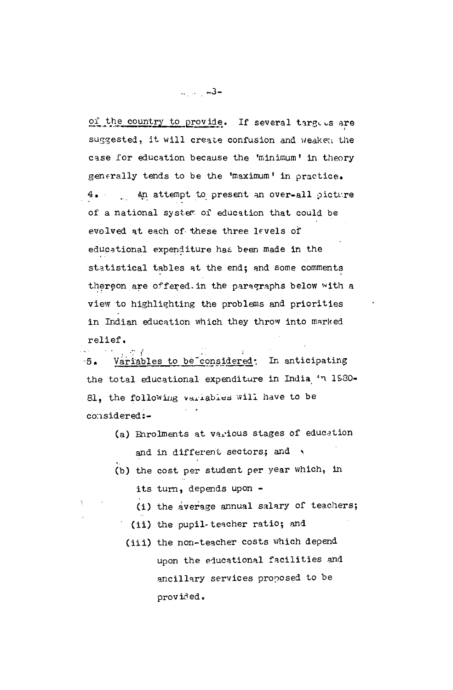of the country to provide. If several targees are suggested, it will create confusion and weaken the case for education because the 'minimum' in theory generally tends to be the 'maximum' in practice. 4. An attempt to present an over-all picture of a national system of education that could be evolved at each of these three levels of educational expenditure has been made in the statistical tables at the end; and some comments thereon are offered in the paragraphs below with a view to highlighting the problems and priorities in Indian education which they throw into marked relief.

Variables to be considered: In anticipating  $-5.$ the total educational expenditure in India in 1930-81, the following variables will have to be considered:-

- (a) Enrolments at various stages of education and in different sectors; and
- (b) the cost per student per year which, in its turn, depends upon -
	- (i) the average annual salary of teachers;
	- (ii) the pupil-teacher ratio; and
	- (iii) the non-teacher costs which depend upon the educational facilities and ancillary services proposed to be provided.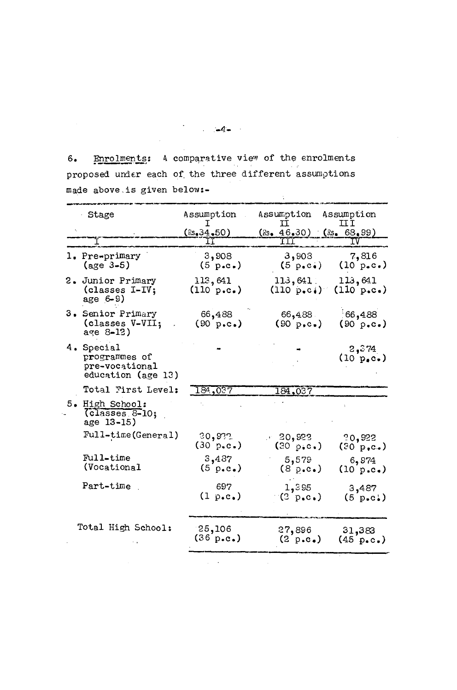6. Enrolments: A comparative view of the enrolments proposed under each of the three different assumptions made above.is given below:-  $\frac{1}{2}$ 

 $\hat{\mathcal{L}}$ 

| <b>Stage</b>                                                        | Assumption                    | Assumption                                                 | Assumption<br>IJI                               |
|---------------------------------------------------------------------|-------------------------------|------------------------------------------------------------|-------------------------------------------------|
|                                                                     | $($ Rs. 34.50)                | $(8s, 46.30)$ $(8s, 68.99)$                                |                                                 |
| I                                                                   |                               |                                                            |                                                 |
| 1. Pre-primary<br>$(age 3-5)$                                       | 3,908<br>$(5 \text{ p.c.})$   | 3,908<br>$(5 \text{ p} \cdot \text{c} \cdot)$              | 7,816<br>$(10 p_{\bullet} c_{\bullet})$         |
| 2. Junior Primary<br>(classes I-IV;<br>age $6-9$ )                  | 113,641<br>(110 p.c.)         | $113,641$ .<br>$(110 \text{ p.e.})$                        | 113,641<br>$(110 \text{ p.c.})$                 |
| 3. Senior Primary<br>(classes V-VII;<br>$age 8-12)$                 | 66,488<br>$(90 \text{ p.c.})$ | 66,488<br>$(90 p, c_*)$                                    | 166,488<br>$(90 \text{ p.c.})$                  |
| 4. Special<br>programmes of<br>pre-vocational<br>education (age 13) |                               |                                                            | 2, 374<br>$(10 p_e c_*)$                        |
| Total First Level:                                                  | 184,037                       | 184,037                                                    |                                                 |
| 5. High School:<br>(classes 8-10;<br>age 13-15)                     |                               |                                                            |                                                 |
| Full-time(General)                                                  | 20,922<br>(30 p.c.)           | $-20,922$<br>$(30 \text{ p}_{\bullet} \text{c}_{\bullet})$ | 20,922<br>$(30 p, c_*)$                         |
| Full-time<br>(Vocational                                            | 3,487<br>$(5 \text{ p.e.})$   | 5,579<br>$(8 p \cdot c \cdot)$                             | 6,974<br>(10 p.c.)                              |
| Part-time                                                           | 697<br>(1 p.e.)               | 1,395<br>$(2 p_{\bullet} c_{\bullet})$                     | 3,487<br>$(5 \text{ p.c.})$                     |
| Total High School:                                                  | 25,106<br>(36 p.c.)           | 27,896<br>$(2 \text{ p.c.})$                               | 31,383<br>$(45 \text{ p} \cdot \text{c} \cdot)$ |

 $-4-$ 

 $\mathcal{L}_{\mathcal{A}}$  and  $\mathcal{L}_{\mathcal{A}}$  are  $\mathcal{L}_{\mathcal{A}}$  . In the set of  $\mathcal{L}_{\mathcal{A}}$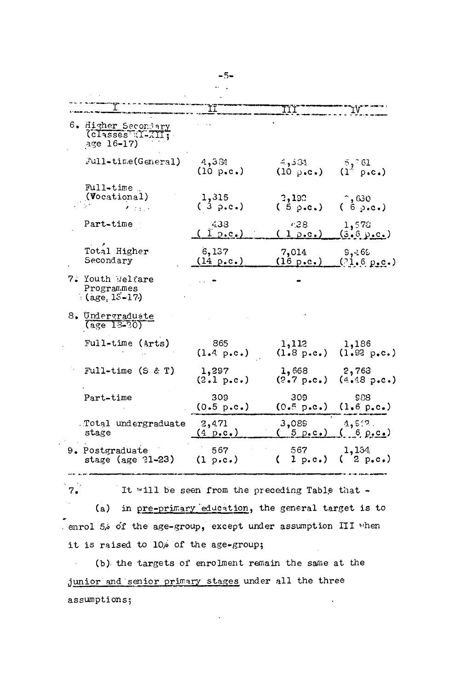|                                                                                   | ΪĪ                           | III                            |                                                                     |
|-----------------------------------------------------------------------------------|------------------------------|--------------------------------|---------------------------------------------------------------------|
| 6. Higher Secondary<br>(classes TLXII;<br>age 16-17)                              |                              |                                |                                                                     |
| Full-time(General)                                                                | 4,384<br>(10 p.c.)           | 4,331<br>$(10 \text{ p.c.})$   | 5,761<br>$(1^{\circ} p \cdot c \cdot)$                              |
| Full-time<br>(Vocational)<br>$\mathcal{F}(\mathcal{L}_{\mathcal{L},\mathcal{L}})$ | 1,315<br>(3 p.c.)            | 3,190<br>$(5 \text{ p.c.})$    | $^{\circ}$ , 630<br>(6p.c.)                                         |
| Part-time                                                                         | 438<br>1 p.e.                | 4.38<br>(1 p.c.)               | 1,578<br><u>(3.6 p.c.)</u>                                          |
| Total Higher<br>Secondary                                                         | 6,137<br>$(14 \text{ p.c.})$ | 7,014<br>$(16 \text{ p.c.})$   | 9,465<br>(21.6 p.c.)                                                |
| 7. Youth Welfare<br>Programmes<br>$(age, 15-17)$                                  |                              |                                |                                                                     |
| 8. Undergraduate<br>$(age 13-30)$                                                 |                              |                                |                                                                     |
| Full-time (Arts)                                                                  | 865<br>$(1.4 \, p.c.)$       | 1,112                          | 1,186<br>$(1.8 p.c.)$ $(1.92 p.c.)$                                 |
| Full-time $(S & T)$                                                               | 1,297<br>(2.1 p.c.)          | 1,668                          | 2,763<br>$(2.7 p. c.)$ $(4.48 p.c.)$                                |
| Part-time                                                                         | 309<br>(0.5 p.c.)            | 309<br>(0.5 p.c.)              | <b>S88</b><br>(1,6 p.c.)                                            |
| Total undergraduate<br>stage                                                      | 2,471<br>$(4 \text{ p.c.})$  | 3,089                          | 4,512.<br>$(5 p_{\bullet} c_{\bullet}) (6 p_{\bullet} c_{\bullet})$ |
| 9. Postgraduate<br>stage (age $21-23$ )                                           | 567<br>$(1 \text{ p.c.})$    | 567 1,134<br>(1 p.c.) (2 p.c.) |                                                                     |
|                                                                                   |                              |                                |                                                                     |

 $7.7$ It will be seen from the preceding Table that -(a) in pre-primary education, the general target is to enrol 5% of the age-group, except under assumption III when it is raised to 10% of the age-group;

(b) the targets of enrolment remain the same at the  $\sim 10^7$ junior and senior primary stages under all the three assumptions;  $\mathcal{L}$ 

 $\overline{\phantom{a}}$ 

 $-5-$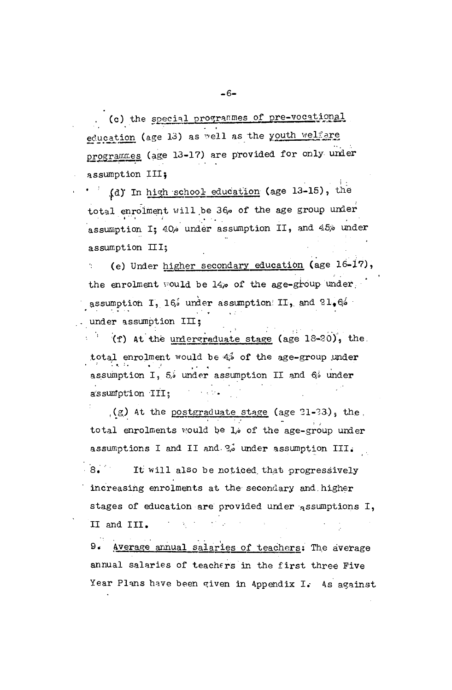(c) the special programmes of pre-vocational education (age 13) as well as the youth welfare programmes (age 13-17) are provided for only under assumption III;

(d) In high school education (age 13-15), the  $\bullet$   $\bullet$   $\bullet$   $\bullet$ total enrolment will be 36% of the age group under assumption I; 40% under assumption II, and 45% under assumption III;

(e) Under higher secondary education (age 16-17), the enrolment would be 14% of the age-group under. assumption I, 16% under assumption II, and  $21.6%$ under assumption III;

(f) At the undergraduate stage (age 18-20), the total enrolment would be 4% of the age-group under assumption I, 5, under assumption II and 6% under assumption III; and the set of the set of the set of the set of the set of the set of the set of the set of the set of the set of the set of the set of the set of the set of the set of the set of the set of the set of the

 $(g)$  At the postgraduate stage (age 21-23), the total enrolments would be l<sub>i</sub> of the age-group under assumptions I and II and  $\frac{2}{v}$  under assumption III.

 $8.77$ It will also be noticed that progressively increasing enrolments at the secondary and higher stages of education are provided under assumptions I,  $\mathcal{L}^{\mathcal{A}}$  , where  $\mathcal{L}^{\mathcal{A}}$  and  $\mathcal{L}^{\mathcal{A}}$  , and  $\mathcal{L}^{\mathcal{A}}$  , and II and III.

 $9.1$ Average annual salaries of teachers: The average annual salaries of teachers in the first three Five Year Plans have been given in Appendix I. As against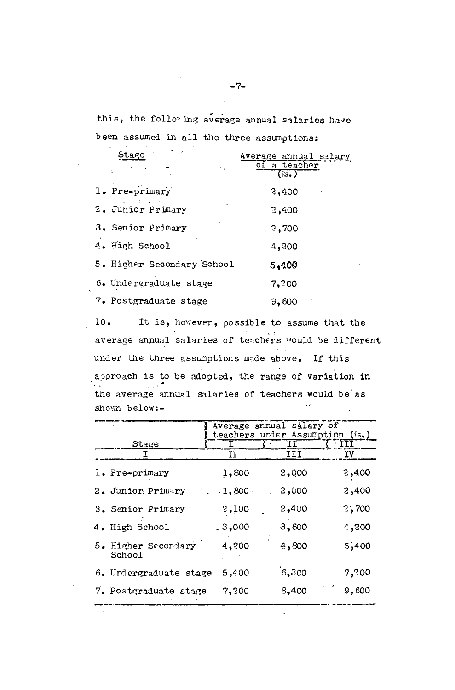this, the following average annual salaries have been assumed in all the three assumptions:

 $\sim$ 

| $\mathbf{v} = \mathbf{v}$<br>Stage | Average annual salary<br>of a teacher<br>$($ is. |
|------------------------------------|--------------------------------------------------|
| 1. Pre-primary                     | 2,400                                            |
| 2. Junior Primary                  | 2,400                                            |
| 3. Senior Primary                  | 2,700                                            |
| 4. High School                     | 4,200                                            |
| 5. Higher Secondary School         | 5,400                                            |
| 6. Undergraduate stage             | 7,200                                            |
| 7. Postgraduate stage              | 9,600                                            |

 $10.$ It is, however, possible to assume that the average annual salaries of teachers would be different under the three assumptions made above. If this approach is to be adopted, the range of variation in  $\sim 10^6$ the average annual salaries of teachers would be as  $\mathcal{L}(\mathcal{L})$ shown below:-

|                               |          | Average annual salary of       |       |
|-------------------------------|----------|--------------------------------|-------|
|                               |          | teachers under Assumption (&.) |       |
| Stage                         |          |                                | ITT   |
|                               | ΙI       | III                            | ΊV    |
| 1. Pre-primary                | 1,800    | 2,000                          | 2,400 |
| 2. Junior Primary             | $-1,800$ | 2,000                          | 2,400 |
| 3. Senior Primary             | 3,100    | 2,400                          | 2,700 |
| 4. High School                | .3,000   | 3,600                          | 4,200 |
| 5. Higher Secondary<br>School | 4,200    | 4,800                          | 5,400 |
| 6. Undergraduate stage        | 5,400    | 6,300                          | 7,200 |
| 7. Postgraduate stage         | 7,?00    | 8,400                          | 9,600 |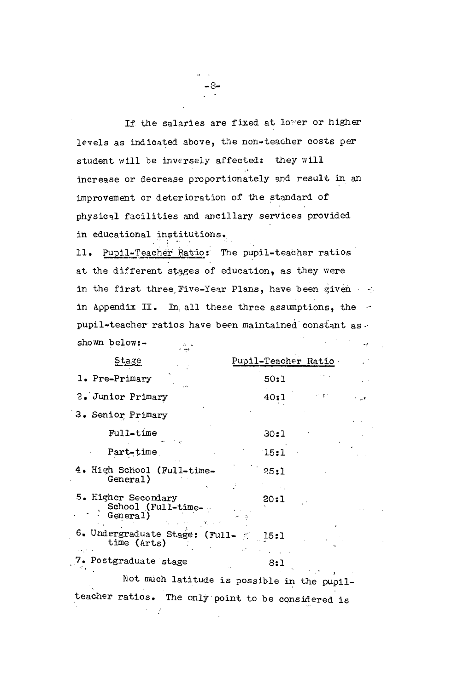If the salaries are fixed at lower or higher levels as indicated above, the non-teacher costs per student will be inversely affected: they will increase or decrease proportionately and result in an improvement or deterioration of the standard of physical facilities and ancillary services provided in educational institutions.\_

-8-

11. Pupil-Teacher Ratio: The pupil-teacher ratios at the different stages of education, as they were in the first three Five-Year Plans, have been given in Appendix II. In all these three assumptions, the pupil-teacher ratios have been maintained constant as shown below:-  $\mathcal{L}(\mathcal{L})$ .- .....

 $\cdot$  .  $\cdot$ 

| Stage                                                 | Pupil-Teacher Ratio                         |
|-------------------------------------------------------|---------------------------------------------|
| 1. Pre-Primary                                        | 50:1                                        |
| 2. Junior Primary                                     | e.<br>40:1                                  |
| 3. Senior Primary                                     |                                             |
| Full-time                                             | 30:1                                        |
| Part-time                                             | 15:1                                        |
| 4. High School (Full-time-<br>General)                | 25:1                                        |
| 5. Higher Secondary<br>School (Full-time-<br>General) | 20:1                                        |
| 6. Undergraduate Stage: (Full-<br>time (Arts)         | 15:1                                        |
| 7. Postgraduate stage                                 | 8:1                                         |
|                                                       | Not much latitude is possible in the pupil- |
| teacher ratios. The only point to be considered is    |                                             |

 $\lambda = 2$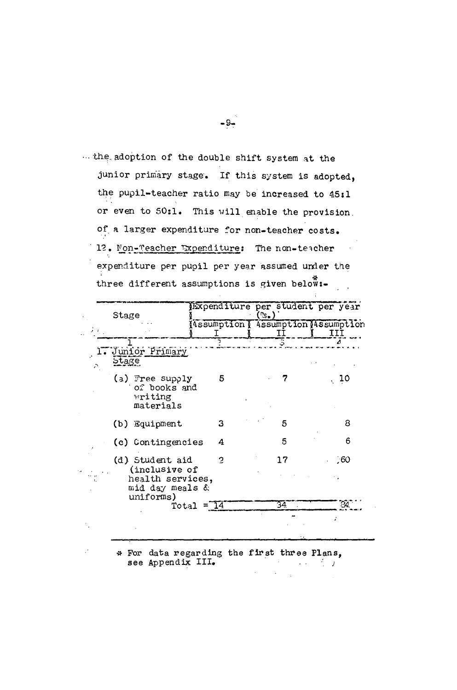... the adoption of the double shift system at the junior primary stage. If this system is adopted, the pupil-teacher ratio may be increased to 45:1 or even to 50:1. This will enable the provision. of a larger expenditure for non-teacher costs. 12. Mon-Teacher Expenditure: The non-teacher expenditure per pupil per year assumed under the three different assumptions is given below:-

| Stage |                                                                                      |                         | (S.) | Expenditure per student per year           |
|-------|--------------------------------------------------------------------------------------|-------------------------|------|--------------------------------------------|
|       |                                                                                      |                         |      | Assumption   Assumption Massumption<br>III |
|       |                                                                                      |                         |      |                                            |
| Stage | . Junior Primary                                                                     |                         |      |                                            |
|       | (a) Free supply<br>of books and<br><b>Writing</b><br>materials                       | 5                       |      | 10                                         |
|       | (b) Equipment                                                                        | З                       | 5    | 8                                          |
|       | (c) Contingencies                                                                    | 4                       | 5    | 6                                          |
|       | (d) Student aid<br>(inclusive of<br>health services,<br>mid day meals &<br>uniforms) | 2                       | 17   | .60                                        |
|       |                                                                                      | Total = $\overline{14}$ | 34.  | 24                                         |
|       |                                                                                      |                         |      |                                            |

\* For data regarding the first three Plans, see Appendix III.  $\mathcal{L}(\mathcal{L}) = \mathcal{L}(\mathcal{L})$ 

 $-9-$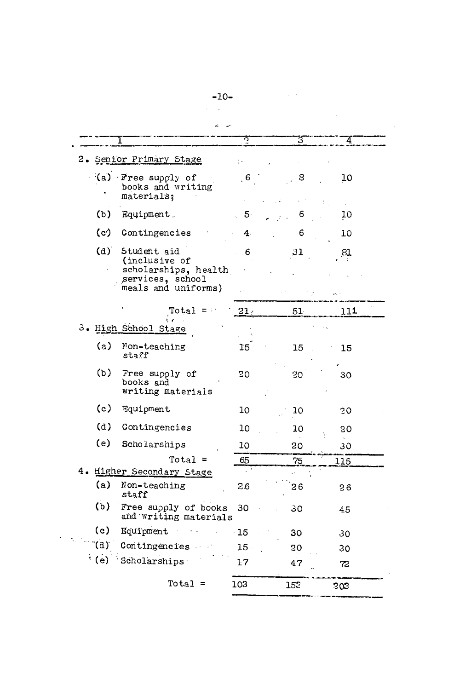|             |                                                       | ဂ               | 3.             |             |
|-------------|-------------------------------------------------------|-----------------|----------------|-------------|
|             | 2. Senior Primary Stage                               |                 |                |             |
|             | (a) Free supply of<br>books and writing<br>materials; | . 6.            | 8              | 10          |
| (b)         | Equipment.                                            | $\sim$ 5        | 6              | <u>10</u>   |
| (c)         | Contingencies                                         | 4:              | 6              | 10          |
| (d)         | Student aid<br>(inclusive of                          | $-6$            | 31             | 81          |
|             | scholarships, health<br>services, school              |                 |                |             |
|             | meals and uniforms)                                   |                 |                |             |
|             | Total<br>$=$ :                                        | 21 <sub>4</sub> | $51 -$         | 111         |
|             | 3. High School Stage                                  |                 |                |             |
| (a)         | Non-teaching<br>staff                                 | 15 <sub>1</sub> | 15             | $\sim 15$   |
| (b)         | Free supply of<br>books and<br>writing materials      | 20              | 20             | 30          |
| (c)         | Equipment                                             | 10              | 10             | 20          |
| (d)         | Contingencies                                         | 10              | 10             | 30          |
| (e)         | Scholarships                                          | 10              | 20             | 30          |
|             | Total $=$                                             | 65              | $\frac{75}{2}$ | <u> 115</u> |
|             | 4. Higher Secondary Stage                             |                 |                |             |
| (a)         | Non-teaching<br>staff                                 | 2.6             | 26             | 26          |
| (b)         | Free supply of books<br>and writing materials         | 30              | 30             | 45          |
| (c)         | Equipment                                             | 15              | 30             | 30          |
| (a)         | Contingencies                                         | 15              | 20             | 30          |
| $\cdot$ (e) | Scholarships                                          | $17\,$          | 47             | 72          |

 $-10-$ 

 $\mathcal{L}^{\text{max}}_{\text{max}}$  ,  $\mathcal{L}^{\text{max}}_{\text{max}}$ 

e i ku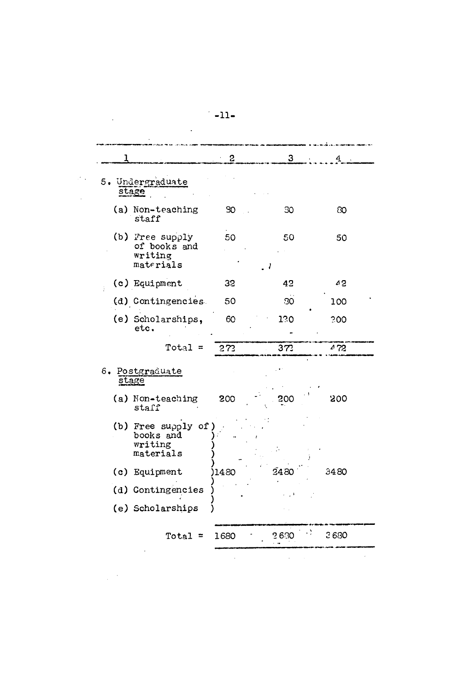|                                                         | $\mathbf{c}$ | 3 <sup>1</sup> | 4    |
|---------------------------------------------------------|--------------|----------------|------|
| 5. Undergraduate<br>stage                               |              |                |      |
| (a) Non-teaching<br>staff                               | 30           | 30             | 80   |
| (b) Free supply<br>of books and<br>writing<br>materials | 50           | 50             | 50   |
| (c) Equipment                                           | 32           | 42             | 42   |
| (d) Contingencies                                       | 50           | 30             | 100  |
| (e) Scholarships,<br>etc.                               | 60           | 120            | 300  |
| $Total =$                                               | 272          | 373            | 472  |
| 6. Postgraduate<br>stage                                |              |                |      |
| (a) Non-teaching<br>staff                               | 200          | 200            | 200  |
| (b) Free supply of<br>books and<br>writing<br>materials |              |                |      |
| (c) Equipment                                           | 1480         | 2480           | 3480 |
| (d) Contingencies                                       |              |                |      |
| (e) Scholarships                                        |              |                |      |
| Total $=$                                               | 1680         | 2630           | 2680 |

 $-11-$ 

 $\mathcal{L}^{\text{max}}_{\text{max}}$ 

 $\label{eq:2.1} \frac{1}{\sqrt{2}}\int_{\mathbb{R}^3}\frac{1}{\sqrt{2}}\left(\frac{1}{\sqrt{2}}\right)^2\frac{1}{\sqrt{2}}\left(\frac{1}{\sqrt{2}}\right)^2\frac{1}{\sqrt{2}}\left(\frac{1}{\sqrt{2}}\right)^2\frac{1}{\sqrt{2}}\left(\frac{1}{\sqrt{2}}\right)^2.$ 

 $\label{eq:2.1} \frac{1}{\sqrt{2}}\int_{\mathbb{R}^3}\frac{1}{\sqrt{2}}\left(\frac{1}{\sqrt{2}}\right)^2\frac{1}{\sqrt{2}}\left(\frac{1}{\sqrt{2}}\right)^2\frac{1}{\sqrt{2}}\left(\frac{1}{\sqrt{2}}\right)^2\frac{1}{\sqrt{2}}\left(\frac{1}{\sqrt{2}}\right)^2.$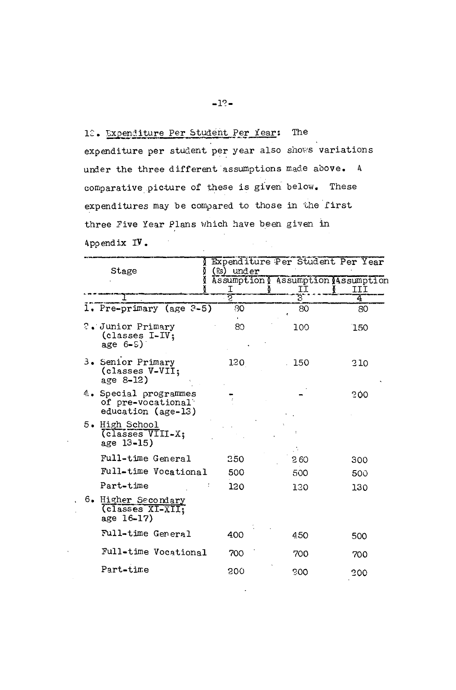#### $-12-$

## 18. Expenditure Per Student Per Year: The

expenditure per student per year also shows variations under the three different assumptions made above. A comparative picture of these is given below. These expenditures may be compared to those in the first three Five Year Plans which have been given in Appendix IV.  $\mathcal{L}^{\text{max}}_{\text{max}}$ 

| Stage                                                            | Expenditure Per Student Per Year<br>(Rs) under |         |     |
|------------------------------------------------------------------|------------------------------------------------|---------|-----|
|                                                                  | Assumption ( Assumption (Assumption            |         | III |
|                                                                  | エラ                                             | II<br>3 | 4   |
| 1. Pre-primary (age $3-5$ )                                      | 80                                             | 80      | 80  |
| ?. Junior Primary<br>(classes I-IV;<br>age $6 - S$ )             | 80                                             | 100     | 150 |
| 3. Senior Primary<br>(classes V-VII;<br>age 8-12)                | 120                                            | 150     | 210 |
| 4. Special programmes<br>of pre-vocational<br>education (age-13) |                                                |         | 200 |
| 5. High School<br>(classes VIII-X;<br>age 13-15)                 |                                                |         |     |
| Full-time General                                                | 250                                            | 260     | 300 |
| Full-time Vocational                                             | 500                                            | 500     | 500 |
| Part-time                                                        | 120                                            | 120     | 130 |
| 6. Higher Secondary<br>(classes XI-XII;<br>age 16-17)            |                                                |         |     |
| Full-time General                                                | 400                                            | 450     | 500 |
| Full-time Vocational                                             | 700                                            | 700     | 700 |
| Part-time                                                        | 200                                            | 300     | 200 |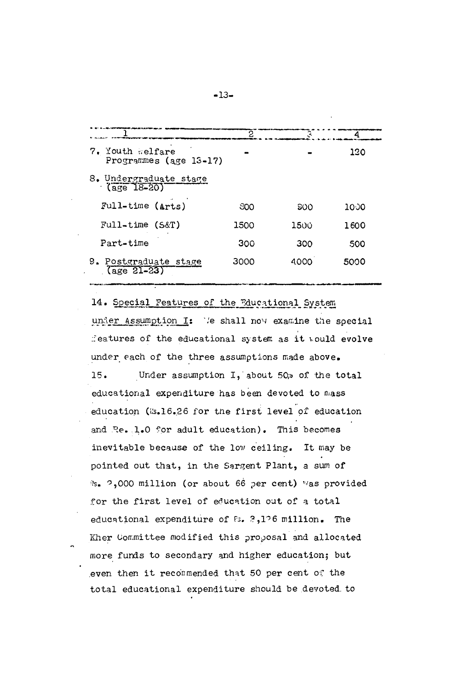|                                                     | 2    |            |      |
|-----------------------------------------------------|------|------------|------|
| 7. Youth Relfare<br>Programmes (age 13-17)          |      |            | 120  |
| 8. Undergraduate stage<br>$\frac{1}{2}$ (age 18-20) |      |            |      |
| Full-time (Arts)                                    | 800  | <b>SOO</b> | 1000 |
| $Full-time (S\&T)$                                  | 1500 | 1500       | 1600 |
| Part-time                                           | 300  | 300        | 500  |
| 9. Postgraduate stage<br>$\frac{25}{2}$             | 3000 | 4000       | 5000 |

14. Special Features of the Educational System under Assumption I: We shall now examine the special features of the educational system as it would evolve under each of the three assumptions made above. Under assumption I, about 50% of the total  $15.$ educational expenditure has been devoted to mass education (8.16.26 for the first level of education and Re. 1.0 for adult education). This becomes inevitable because of the low ceiling. It may be pointed out that, in the Sargent Plant, a sum of %. 2,000 million (or about 66 per cent) was provided for the first level of education out of a total educational expenditure of fs. 2,126 million. The Kher Committee modified this proposal and allocated more funds to secondary and higher education; but even then it recommended that 50 per cent of the total educational expenditure should be devoted to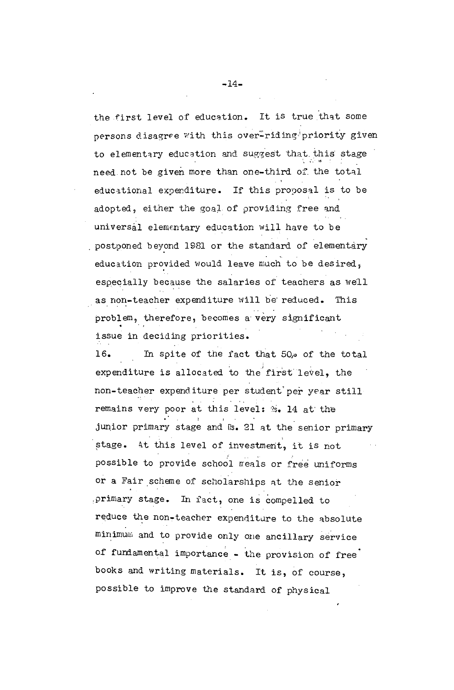the first level of education. It is true that some persons disagree with this over-riding priority given to elementary education and suggest that this stage need not be given more than one-third of the total educational expenditure. If this proposal is to be adopted, either the goal of providing free and universal elementary education will have to be postponed beyond 1981 or the standard of elementary education provided would leave much to be desired, especially because the salaries of teachers as well as non-teacher expenditure will be reduced. This problem, therefore, becomes a very significant issue in deciding priorities. 16. In spite of the fact that 50,0 of the total expenditure is allocated to the first level, the non-teacher expenditure per student per year still remains very poor at this level: %. 14 at the junior primary stage and Rs. 21 at the senior primary stage. At this level of investment, it is not possible to provide school meals or free uniforms or a Fair scheme of scholarships at the senior primary stage. In fact, one is compelled to

reduce the non-teacher expenditure to the absolute minimum and to provide only one ancillary service of fundamental importance - the provision of free books and writing materials. It is, of course, possible to improve the standard of physical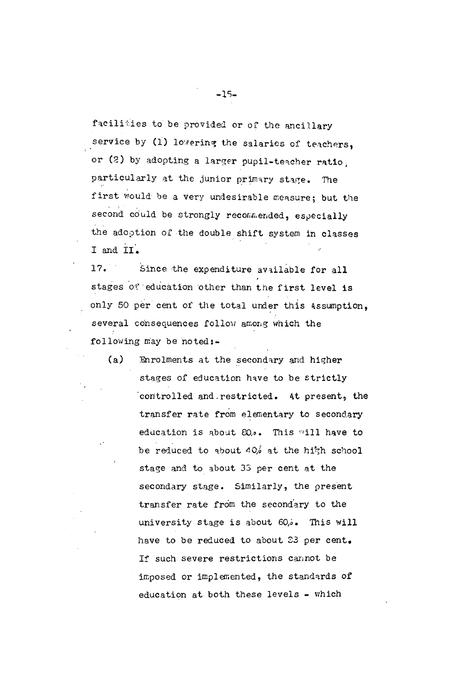facilities to be provided or of the ancillary service by (1) lowering the salaries of teachers, or (2) by adopting a larger pupil-teacher ratio, particularly at the junior primary stage. The first would be a very undesirable measure; but the second could be strongly recommended, especially the adoption of the double shift system in classes I and II.

17. Since the expenditure available for all stages of education other than the first level is only 50 per cent of the total under this Assumption. several consequences follow among which the following may be noted:-

 $(a)$ Enrolments at the secondary and higher stages of education have to be strictly controlled and restricted. At present, the transfer rate from elementary to secondary education is about 20.0. This will have to be reduced to about  $40/6$  at the high school stage and to about 33 per cent at the secondary stage. Similarly, the present transfer rate from the secondary to the university stage is about 60,6. This will have to be reduced to about 23 per cent. If such severe restrictions cannot be imposed or implemented, the standards of education at both these levels - which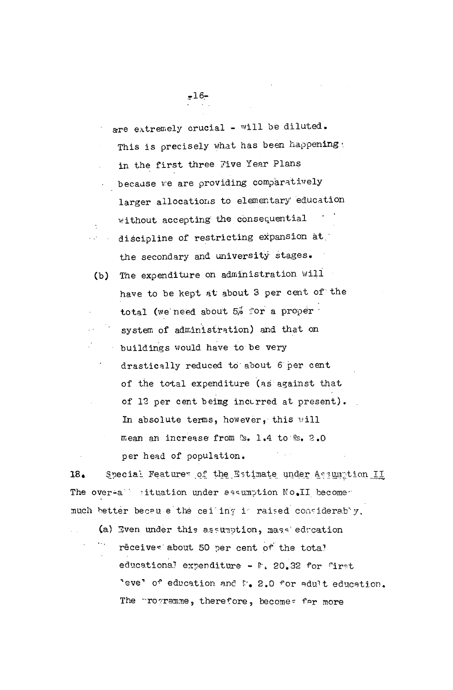are extremely crucial - will be diluted. This is precisely what has been happening. in the first three Five Year Plans because we are providing comparatively larger allocations to elementary education without accepting the consequential discipline of restricting expansion at the secondary and university stages.

(b) The expenditure on administration will have to be kept at about 3 per cent of the total (we need about 5% for a proper system of administration) and that on buildings would have to be very drastically reduced to about 6 per cent of the total expenditure (as against that of 12 per cent being incurred at present). In absolute terms, however, this will mean an increase from S. 1.4 to S. 2.0 per head of population.

Special Featurer of the Estimate under Assumption II 18. The over-a situation under assumption No.II becomed much better becau e the cei ing i raised considerably.

(a) Even under this assumption, mass education rèceives about 50 per cent of the total educational expenditure - F. 20.32 for first 'eve' of education and M. 2.0 for adult education. The programme, therefore, becomes far more

 $716-$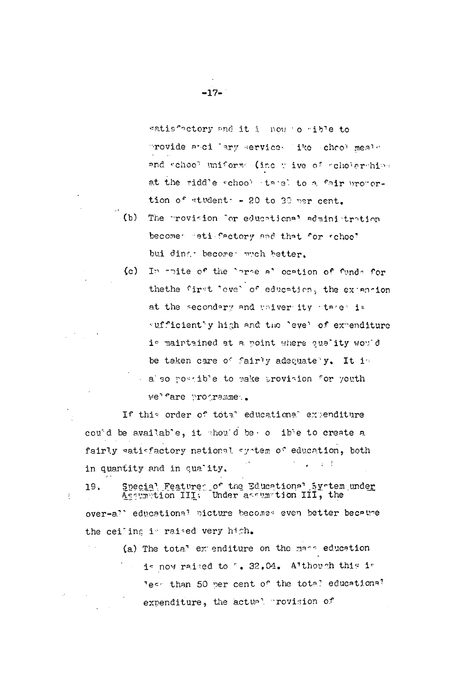$(c)$ In thite of the large allocation of funds for thethe first "ove" of education, the extension at the secondary and univer ity tares is sufficiently high and the level of expenditure is maintained at a point where ouality would be taken care of fairly adequate y. It is also possible to make provision for youth we'fare programme..

If this order of total educational expenditure cound be available, it should be online to create a fairly eatiefactory national system of education, both  $\sim 4-4$ in quantity and in quality.

Special Features of the Educational System under<br>Assumition III: Under assumition III, the 19. over-all educational picture becomes even better because the cei'ing is raised very high.

(a) The tota" extenditure on the mass education is now raised to ". 32.04. Although this is Tess than 50 per cent of the total educational expenditure, the actual provision of

 $-17-$ 

 $(b)$ 

 $\frac{1}{2}$ 

satisfactory and it is now to rible to

tion of students - 20 to 30 ner cent.

bui ding become wich better.

provide and lary services like chool meals

and school uniform (inc wive of scholarships

at the ridd'e school tarel to a fair propor-

The provision for educational administration

becomes rati-factory and that for school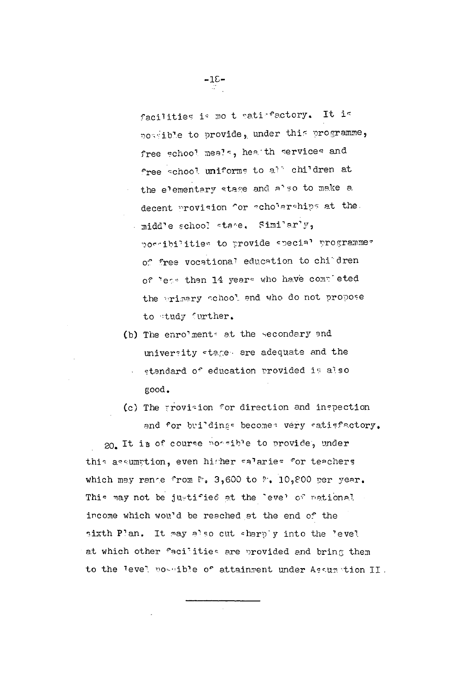facilities is mo t satisfactory. It is possible to provide, under this programme, free school meals, heath services and free school uniforms to all children at the elementary stage and also to make a decent provision for acholarahips at the midd'e school stage. Similarly, possibilities to provide special programmer of free vocational education to children of less than 14 years who have completed the primary achool and who do not propose to tudy further.

- (b) The enrolments at the secondary and university stages are adequate and the standard of education provided is also good.
- (c) The provision for direction and inspection and for buildings becomes very satisfactory.

20. It is of course poosible to provide, under this assumption, even higher salaries for teachers which may range from  $P_0$ , 3,600 to  $P_0$ , 10,800 per year. This may not be justified at the "eve" of national income which would be reached at the end of the sixth Plan. It may also cut sharply into the level at which other facilities are provided and bring them to the level possible of attainment under Assumption II.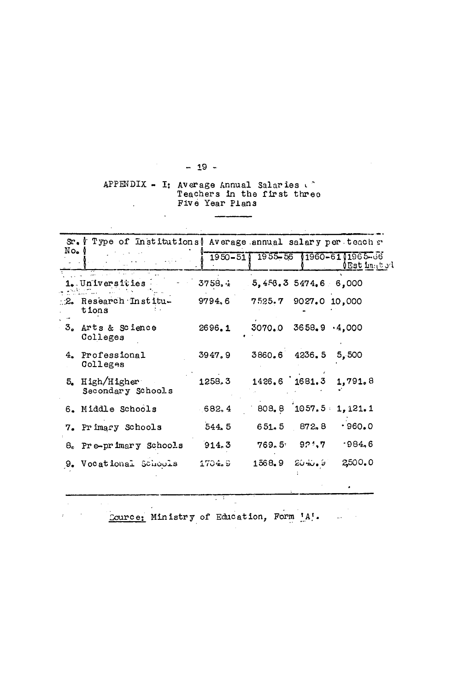APPENDIX - I: Average Annual Salaries Five Year Plans  $\sim 10^{-11}$ 

 $\overline{\phantom{a}}$ 

|                | Type of Institutions   Average annual salary per teach r<br>Sr. I |        |                           |                 |                                                                        |
|----------------|-------------------------------------------------------------------|--------|---------------------------|-----------------|------------------------------------------------------------------------|
| $No_{\bullet}$ |                                                                   |        |                           |                 | 1950-511 1955-56 11960-6111965-66<br>$\setminus$ Est imato $\setminus$ |
|                | 1. Universities                                                   | 3758.4 | 5,4.56,35474,66.000       |                 |                                                                        |
|                | $\mathbb{R}$ . Research Institu-<br>tions                         | 9794.6 | 7525.7 9027.0 10,000      |                 |                                                                        |
|                | 3. Arts & Science<br>Colleges                                     | 2696.1 | $3070.0$ $3658.9$ $4.000$ |                 |                                                                        |
|                | 4. Professional<br>Colleges                                       | 3947.9 | 3860.6 4236.5             |                 | 5,500                                                                  |
|                | 5. $High/Higher$<br>Secondary Schools                             | 1258.3 | $1426.6$ 1681.3           |                 | 1,791.8                                                                |
|                | 6. Middle Schools                                                 | 682, 4 |                           | 808.8 1057.5    | 1,121.1                                                                |
|                | 7. Primary Schools                                                | 544.5  | 651, 5                    | 872.8           | .960.0                                                                 |
|                | 8. Pre-primary Schools                                            | 914.3  |                           | $769.5 = 921.7$ | .984,6                                                                 |
|                | 9. Vocational Schools                                             | 1704.9 | 1568.9                    | $20 - 6 - 6$    | 2,500.0                                                                |

 $\sim$ 

t.

Cource: Ministry of Education, Form 'A'.

 $\sim$ 

 $\frac{1}{2}$  - 19 -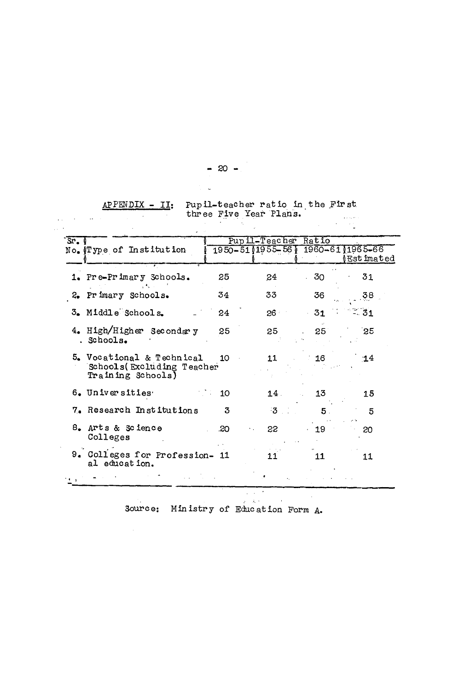| APPENDIX - II: Pupil-teacher ratio in the First<br>three Five Year Plans. | <b>ALCOHOL: MADE</b> |
|---------------------------------------------------------------------------|----------------------|
|                                                                           |                      |

| $S_{r}$ $\sqrt{r}$ |                                                                              |     | Pupil-Teacher Ratio               |                 |                     |
|--------------------|------------------------------------------------------------------------------|-----|-----------------------------------|-----------------|---------------------|
|                    | No. !Type of Institution                                                     |     | 1950-51 1955-56 1 1960-61 1965-66 |                 | ≬Est <b>i</b> mated |
|                    | 1. Pre-Primary Schools.                                                      | 25  | 24                                | 30              | 31                  |
|                    | 2. Primary Schools.                                                          | 34  | 33                                | 36              | 38                  |
|                    | 3. Middle Schools.                                                           | 24. | 26 I                              | 31              | °÷. 31              |
|                    | 4. High/Higher Secondary<br>. Schools.                                       | 25  | 25                                | 25 <sub>1</sub> | $35^{\circ}$        |
|                    | 5. Vocational & Technical<br>Schools (Excluding Teacher<br>Training Schools) | 10  | 11                                | 16              | $-14$               |
|                    | 6. Universities                                                              | 10  | $14 -$                            | 13              | 15                  |
|                    | 7. Research Institutions                                                     | 3   | -3                                | 5.              | 5                   |
|                    | 8. Arts & Science<br>Colleges                                                | .20 | 22                                | 19              | 20                  |
|                    | 9. Colleges for Profession- 11<br>al education.                              |     |                                   | 11              | 11                  |
|                    |                                                                              |     |                                   |                 |                     |

Source: Ministry of Education Form A.

 $\sim 10^{-1}$ 

 $-20$   $-$ 

 $\label{eq:2.1} \frac{d\mathbf{r}}{dt} = \frac{1}{2\pi}\sum_{i=1}^N \frac{d\mathbf{r}}{dt} \left( \frac{d\mathbf{r}}{dt} \right) \mathbf{r}_i \left( \mathbf{r}_i \right)$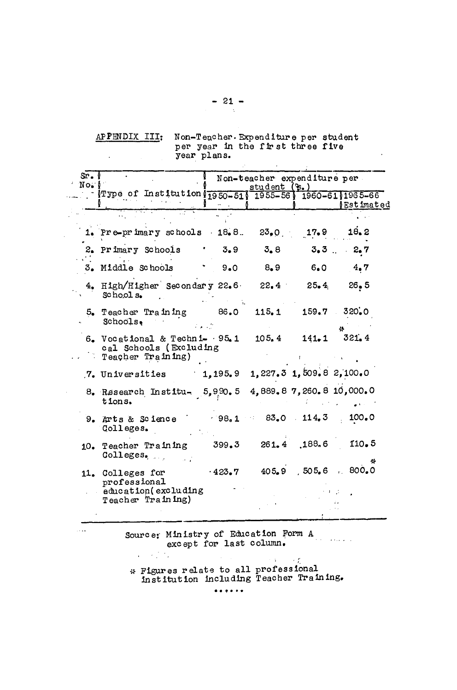APPENDIX III: Non-Teacher. Expenditure per student<br>per year in the first three five<br>year plans.

 $\cdot$ 

| Sr. I<br>No. |                                                                                                                                                                                                                                                                                                                 | Non-teacher expenditure per<br>student $(\mathcal{E}, \mathcal{E})$ |       |     |                               |  |  |  |  |  |
|--------------|-----------------------------------------------------------------------------------------------------------------------------------------------------------------------------------------------------------------------------------------------------------------------------------------------------------------|---------------------------------------------------------------------|-------|-----|-------------------------------|--|--|--|--|--|
|              | $\frac{1}{2}$ Type of Institution $\frac{1}{2}$ $\frac{1}{2}$ $\frac{5}{0}$ $\frac{1}{2}$ $\frac{1}{2}$ $\frac{1}{2}$ $\frac{1}{2}$ $\frac{1}{2}$ $\frac{1}{2}$ $\frac{1}{2}$ $\frac{1}{2}$ $\frac{1}{2}$ $\frac{1}{2}$ $\frac{1}{2}$ $\frac{1}{2}$ $\frac{1}{2}$ $\frac{1}{2}$ $\frac{1}{2}$ $\frac{1}{2}$ $\$ |                                                                     |       |     | <b><i>Satimated</i></b>       |  |  |  |  |  |
|              |                                                                                                                                                                                                                                                                                                                 |                                                                     |       |     |                               |  |  |  |  |  |
|              | 1. Pre-primary schools $18.8$ . $23.0$                                                                                                                                                                                                                                                                          |                                                                     |       |     | $17.9$ $18.2$                 |  |  |  |  |  |
|              | 2. Primary Schools                                                                                                                                                                                                                                                                                              | 3.9<br>$\langle \rangle$                                            | 3,8   |     | $3.3$ $2.7$                   |  |  |  |  |  |
|              | 3. Middle Schools . 9.0                                                                                                                                                                                                                                                                                         |                                                                     | 8, 9  | 6.0 | 4.7                           |  |  |  |  |  |
|              | 4. High/Higher Secondary 22.6 22.4 25.4 26.5<br>School s.                                                                                                                                                                                                                                                       |                                                                     |       |     |                               |  |  |  |  |  |
|              | $5.$ Teacher Training $86.0$<br>Schools.                                                                                                                                                                                                                                                                        |                                                                     | 115.1 |     | $159.7$ $320.0$               |  |  |  |  |  |
|              | $6.$ Vocational & Techni- $\cdot$ 95.1<br>cal Schools (Excluding<br>Teacher Training)                                                                                                                                                                                                                           |                                                                     | 105.4 |     | $141.1$ $321.4$               |  |  |  |  |  |
|              | 7. Universities                                                                                                                                                                                                                                                                                                 | 1,195,9                                                             |       |     | $1,227.3$ $1,509.8$ $2,100.0$ |  |  |  |  |  |
|              | 8. Research Institu- 5,990.5 4,889.8 7,260.8 10,000.0<br>tions.                                                                                                                                                                                                                                                 |                                                                     |       |     |                               |  |  |  |  |  |
|              | 9. Arts & Science<br>Colleges.                                                                                                                                                                                                                                                                                  |                                                                     |       |     | $98.1$ $83.0$ $114.3$ $100.0$ |  |  |  |  |  |
|              | 10. Teacher Training<br>Colleges.                                                                                                                                                                                                                                                                               | 399.3                                                               |       |     | 261.4 188.6 110.5             |  |  |  |  |  |
|              | 11. Colleges for<br>professional                                                                                                                                                                                                                                                                                | $-423.7$                                                            |       |     | 405.9 505.6 800.0             |  |  |  |  |  |
|              | education (excluding<br>Teacher Training)                                                                                                                                                                                                                                                                       |                                                                     |       |     |                               |  |  |  |  |  |

Source: Ministry of Education Form A except for last column.  $\mathcal{L} = \{ \mathcal{L} \}$  ,  $\mathcal{L}$ 

لعديد

 $\sim 5 \sim 10^7$ \* Figures relate to all professional<br>institution including Teacher Training.

 $-21 \mathcal{A}$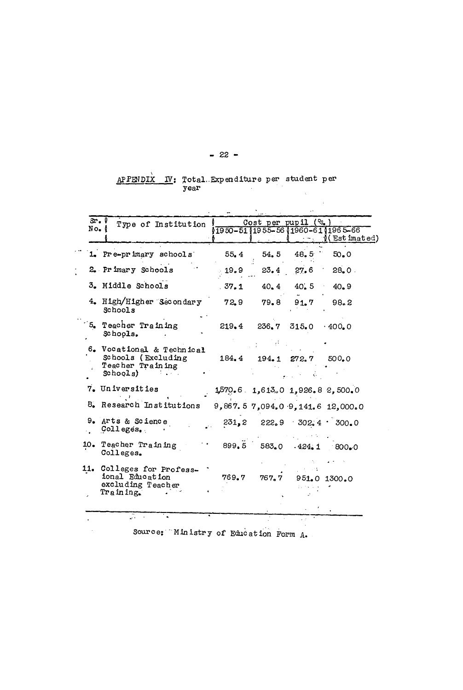# $\frac{AP\,PEND\hat{IX}}{P}$  IV: Total Expenditure per student per year

 $\Delta$ 

 $\Delta \sim 1$ 

| No. ( | Sr.<br>Type of Institution                                                      |       |             | Cost per pupil (?s.                | 1950-5111955-5611960-6111965-66      |
|-------|---------------------------------------------------------------------------------|-------|-------------|------------------------------------|--------------------------------------|
|       |                                                                                 |       |             |                                    | (Estimated)                          |
|       | 1. Pre-primary schools                                                          | 55.4  | 54.5        | 48.5                               | 50.0                                 |
|       | 2. Primary Schools                                                              | 19.9  | 23.4        | 27.6                               | 28.0.                                |
|       | 3. Middle Schools                                                               | .37.1 | 40.4        | 40.5                               | 40.9                                 |
|       | 4. High/Higher Secondary<br>Schools                                             | 72,9  | 79.8        | 91.7                               | 98, 2                                |
|       | 5. Teacher Training<br>Schools.                                                 | 219.4 | 236.7 315.0 |                                    | $.400 \bullet 0$                     |
|       | 6. Vocational & Technical<br>Schools (Excluding<br>Teacher Training<br>Schogls) | 184.4 |             | $194.1$ $272.7$                    | 500.0                                |
|       | 7. Universities                                                                 |       |             |                                    | $1,570,6$ $1,613,0$ $1,926,82,500,0$ |
|       | 8. Research Institutions                                                        |       |             |                                    | 9,867.57,094.09.141.612,000.0        |
|       | 9. Arts & Science<br>Colleges.                                                  |       |             | $231, 2$ $222, 9$ $302, 4$ $300.0$ |                                      |
|       | 10. Teacher Training<br>Colleges.                                               | 899.5 | 583.0       |                                    | $.424.1$ 800.0                       |
|       | 11. Colleges for Profess-<br>ional Education<br>excluding Teacher<br>Training.  | 769.7 | 767.7       |                                    | 951.0 1300.0                         |
|       |                                                                                 |       |             |                                    |                                      |

Source: Ministry of Education Form A.

 $\sim$ 

#### $-22 -$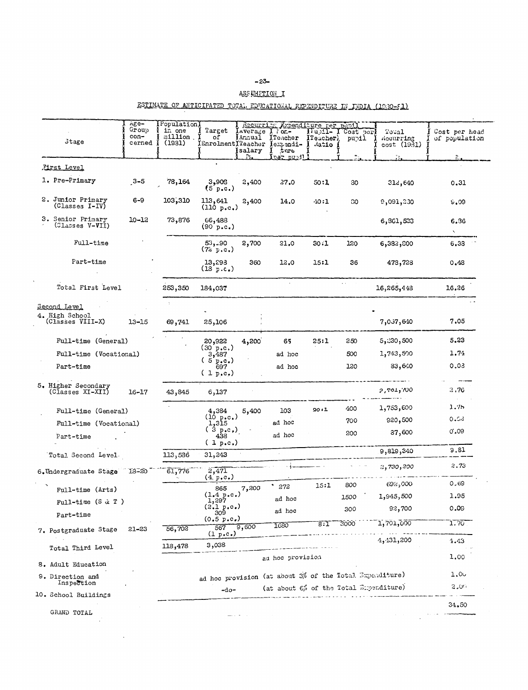#### ASSUMETION I

## ESTIMATE OF ANTICIPATED TOTAL EDUCATIONAL EXPENDITURE IN INDIA (1980-51)

|                                         | Age-<br>Group<br>$con-$ | Population<br>in one<br>million. | Target<br>оf                    | Average<br><b>I</b> Annual | Recurring Expenditure per pubil<br>$\lambda$ $\alpha$ or $\alpha$<br>ITeacher | $\prod u_i$ ) $\mathbf{I}$ -<br>ITeacher) | Cost per<br>pupil. | Toual<br>Recurring | Cost per head<br>of population |
|-----------------------------------------|-------------------------|----------------------------------|---------------------------------|----------------------------|-------------------------------------------------------------------------------|-------------------------------------------|--------------------|--------------------|--------------------------------|
| <b>Stage</b>                            | cerned                  | (1931)                           | (Enrolment)Teacher              | salary                     | lexpandi-<br>$t$ and                                                          | datio                                     |                    | cost(1931)         |                                |
|                                         |                         |                                  |                                 | Ŋ.                         | ipar pubili                                                                   |                                           | n<br>211           | $\mathbb{Z}_{2n}$  | $R_{\rm{1}}$                   |
| First Level                             |                         |                                  |                                 |                            |                                                                               |                                           |                    |                    |                                |
| 1. Pre-Primary                          | $3 - 5$                 | 78,164                           | 3,908<br>$(5 \text{ p.c.})$     | 2,400                      | 27.0                                                                          | 50:1                                      | 30                 | 312,640            | 0.31                           |
| 2. Junior Primary<br>(Classes I-IV)     | $6 - 9$                 | 103,310                          | 113,641<br>(110 p.c.)           | 2,400                      | 14.0                                                                          | $-10:1$                                   | 80                 | 9,091,230          | 9.09                           |
| 3. Senior Primary<br>(Classes V-VII)    | $10 - 12$               | 73,876                           | 66,488<br>(90 p.c.)             |                            |                                                                               |                                           |                    | 6,861,523          | 6.36<br>$\mathbf{N}$           |
| Full-time                               |                         |                                  | 53,190<br>(72 p.c.)             | 2,700                      | 21.0                                                                          | 30:1                                      | 120                | 6,382,800          | 6,33                           |
| Part-time                               |                         |                                  | 13,293<br>(18 p.c.)             | 360                        | 12.0                                                                          | 15:1                                      | 36                 | 478,728            | 0.48                           |
| Total First Level                       |                         | 253,350                          | 184,037                         |                            |                                                                               |                                           |                    | 16,265,448         | 16.26                          |
| Second Level                            |                         |                                  |                                 |                            |                                                                               |                                           |                    |                    |                                |
| 4. High School<br>(Classes VIII-X)      | $13 - 15$               | 69,741                           | 25,106                          |                            |                                                                               |                                           |                    | 7,057,640          | 7.05                           |
| Full-time (General)                     |                         |                                  | 20,922                          | 4,200                      | 65                                                                            | 25:1                                      | 250                | 5,230,500          | 5.23                           |
| Full-time (Vocational)                  |                         |                                  | (30 p.c.)<br>3,487              |                            | ad hoc                                                                        |                                           | 500                | 1,743,500          | 1.74                           |
| Part-time                               |                         |                                  | (5 p.e.)<br>697<br>$(1 p, c_*)$ |                            | ad hoc                                                                        |                                           | 120                | 83,640             | 0.03                           |
| 5. Higher Secondary<br>(Classes XI-XII) | $16 - 17$               | 43,845                           | 6,137                           |                            |                                                                               |                                           |                    | 00%, 107, 2        | 2,76                           |
| Full-time (General)                     |                         |                                  | 4,384                           | 5,400                      | 103                                                                           | 20.1                                      | 400                | 1,753,600          | 1.75                           |
| Full-time (Vocational)                  |                         |                                  | $(10 p.c.)$<br>1,315            |                            | ad hoc                                                                        |                                           | 700                | 920,500            | 0.53                           |
| Part-time                               |                         |                                  | ( 3 p.c.)<br>438<br>(1 p.c.)    |                            | ad hoc                                                                        |                                           | 200                | 37,600             | 0',09                          |
| Total Second Level.                     |                         | 113,536                          | 31,243                          |                            |                                                                               |                                           |                    | 9,819,340          | 9.81                           |
| 6.Undergraduate Stage                   | $18 - 20$               | 61,776                           | 2,471<br>(4 p.c.)               |                            |                                                                               |                                           |                    | 2,730,200          | 2,73                           |
| Full-time (Arts)                        |                         |                                  | 865                             | 7,200                      | ٠<br>272                                                                      | 15:1                                      | 800                | 692,000            | 0,69                           |
|                                         |                         |                                  | $(1.4 \text{ p.c.})$<br>1,297   |                            | ad hoc                                                                        |                                           | 1500               | 1,945,500          | 1.95                           |
| Full-time $(S \alpha T)$                |                         |                                  | (2.1 p.c.)<br>309               |                            | ad hoc                                                                        |                                           | 300                | 92,700             | 0.09                           |
| Part-time                               |                         |                                  | (0.5 p.c.)                      |                            |                                                                               |                                           | `∩∩∩∂              | 1.701.000          | הקלידו                         |



 $\mathcal{A}$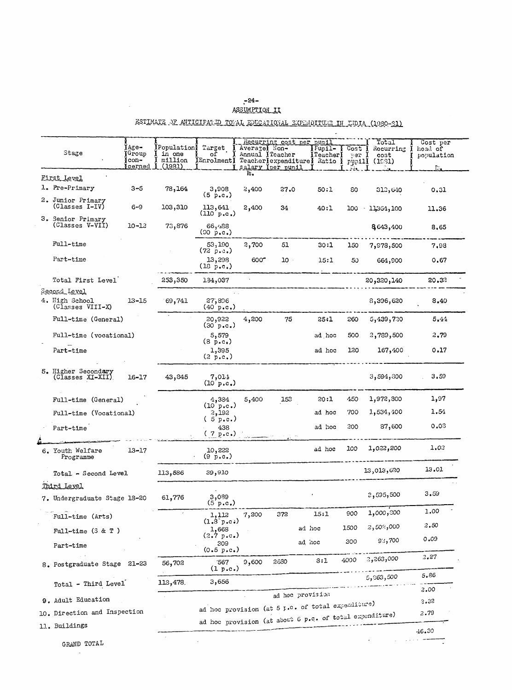# $-24-$

 $\mathcal{L}^{\text{max}}_{\text{max}}$  .

 $\mathcal{L}^{\text{max}}_{\text{max}}$ 

#### ASSUMPTION II

## ESTIMATE OF ANTICIPATED TOGAL EDUCATIONAL EXPENDITURE IN TIDIA (1980-81)

| Stage                                              | $\texttt{Age}$<br><b>i</b> Group<br>fcon-<br><u>icerned</u> | <b>IPopulation</b> Target<br>in one<br>million<br>(1981) | ΩŤ<br>Enrolment)                                        | $Average$ Non-<br>Annual <i>I</i> Teacher | salary Yper punil | Recurring cost per pupil<br>$Fupil-$<br>${\tt \small Te}\xspace$ cher)<br>Teacher (expenditure) Ratio | Cost<br>ner<br>pupill<br>المقابا | Total<br>Rocurring<br>cost<br>(1031) | Cost per<br>head of<br>population<br>$\mathbb{R}_+$ |
|----------------------------------------------------|-------------------------------------------------------------|----------------------------------------------------------|---------------------------------------------------------|-------------------------------------------|-------------------|-------------------------------------------------------------------------------------------------------|----------------------------------|--------------------------------------|-----------------------------------------------------|
| First Level                                        |                                                             |                                                          |                                                         | k.                                        |                   |                                                                                                       |                                  |                                      |                                                     |
| 1. Pre-Primary                                     | $3 - 5$                                                     | 78,164                                                   | 3,908<br>(5 p.c.)                                       | 2,400                                     | 27.0              | 50:1                                                                                                  | 80                               | 312,640                              | 0.31                                                |
| 2. Junior Primary<br>(Classes I-IV)                | $6 - 9$                                                     | 103,310                                                  | 113,641<br>$(110)$ p.c.)                                | 2,400                                     | 34                | 40:1                                                                                                  | 100                              | 11,364,100                           | 11.36                                               |
| 3. Senior Primary<br>(Classes V-VII)               | $10 - 12$                                                   | 73,876                                                   | 66,488<br>$(90 \text{ p.c.})$                           |                                           |                   |                                                                                                       |                                  | 8643,400                             | 8,65                                                |
| Full-time                                          |                                                             |                                                          | 53,190<br>(72 p. c.)                                    | 2,700                                     | 51                | 30:1                                                                                                  | 150                              | 7,978,500                            | 7.98                                                |
| Part-time                                          |                                                             |                                                          | 13,298<br>(18 p.c.)                                     | 600                                       | 10 <sub>1</sub>   | 15:1                                                                                                  | 50                               | 664,900                              | 0.67                                                |
| Total First Level                                  |                                                             | 253,350                                                  | 134,037                                                 |                                           |                   |                                                                                                       |                                  | 20,320,140                           | 20.38                                               |
| Second Level<br>4. High School<br>(Classes VIII-X) | $13 - 15$                                                   | 69,741                                                   | 27,896<br>(40 p.c.)                                     |                                           |                   |                                                                                                       |                                  | 8,396,620                            | 8,40                                                |
| Full-time (General)                                |                                                             |                                                          | 20,922<br>(30 p.c.)                                     | 4,200                                     | 75                | 25:1                                                                                                  | 260                              | 5,439,730                            | 5.44                                                |
| Full-time (vocational)                             |                                                             |                                                          | 5,579<br>$(8 \text{ p.c.})$                             |                                           |                   | ad hoc                                                                                                | 500                              | 2,789,500                            | 2.79                                                |
| Part-time                                          |                                                             |                                                          | 1,395<br>(2 p.c.)                                       |                                           |                   | ad hoc                                                                                                | 120                              | 167,400                              | 0.17                                                |
| 5. Higher Secondary<br>(Classes XI-XII)            | $16 - 17$                                                   | 43,845                                                   | 7,011<br>(10 p.c.)                                      |                                           |                   |                                                                                                       |                                  | 3,594,300                            | 3,59                                                |
| Full-time (General)                                |                                                             |                                                          | 4,384                                                   | 5,400                                     | 153               | 20:1                                                                                                  | 450                              | 1,972,800                            | 1,97                                                |
| Full-time (Vocational)                             |                                                             |                                                          | (10 p.c.)<br>2,192<br>$5$ p.c.)                         |                                           |                   | ad hoc                                                                                                | 700                              | 1,534,400                            | 1.54                                                |
| Part-time                                          |                                                             |                                                          | 438<br>(7 p.c.)                                         |                                           |                   | ad hoc                                                                                                | 200                              | 87,600                               | 0.03                                                |
| 6. Youth Welfare<br>Programme                      | $13 - 17$                                                   |                                                          | 10,222<br>$(9 \text{ p.}c_*)$                           |                                           |                   | ad hoc                                                                                                | 100                              | 1,022,200                            | 1.02                                                |
| Total - Second Level                               |                                                             | 113,586                                                  | 39,910                                                  |                                           |                   |                                                                                                       |                                  | 13,013,620                           | 13.01                                               |
| Third Level<br>7. Undergraduate Stage 18-20        |                                                             | 61,776                                                   | 3,089<br>(5 p.c.)                                       |                                           |                   |                                                                                                       |                                  | 2,595,500                            | 3.59                                                |
| Full-time (Arts)                                   |                                                             |                                                          | 1,112                                                   | 7,200                                     | 372               | 15:1                                                                                                  | 900                              | 1,000,300                            | 1.00                                                |
| Full-time $(3 & T)$                                |                                                             |                                                          | (1.8 p.c.)<br>1,668                                     |                                           |                   | ad hoc                                                                                                | 1500                             | 2,50%,000                            | 2.50                                                |
| Part-time                                          |                                                             |                                                          | (2.7 p.c.)<br>309<br>(0.5 p.c.)                         |                                           |                   | ad noc                                                                                                | 300                              | 92,700                               | 0.09                                                |
| 8. Postgraduate Stage 21-23                        |                                                             | 56,702                                                   | 567<br>(1 p.c.)                                         | 9,600                                     | 2680              | 8:1                                                                                                   | 4000                             | 2,263,000                            | 2.27                                                |
| Total - Third Level                                |                                                             | 113,478.                                                 | 3,656                                                   |                                           |                   |                                                                                                       |                                  | 5, 363, 500                          | 5.86                                                |
|                                                    |                                                             |                                                          |                                                         |                                           |                   | ad hoc provision                                                                                      |                                  |                                      | 2.00                                                |
| 9. Adult Education                                 |                                                             |                                                          | ad hoc provision (at 5 p.c. of total expenditure)       |                                           |                   |                                                                                                       |                                  |                                      | 2.32                                                |
| 10. Direction and Inspection<br>11. Buildings      |                                                             |                                                          | ad hoc provision (at about 6 p.c. of total expenditure) |                                           |                   |                                                                                                       |                                  |                                      | 2.79                                                |
|                                                    |                                                             |                                                          |                                                         |                                           |                   |                                                                                                       |                                  |                                      | 46.30                                               |
| GRAND TOTAL                                        |                                                             |                                                          |                                                         |                                           |                   |                                                                                                       |                                  |                                      |                                                     |